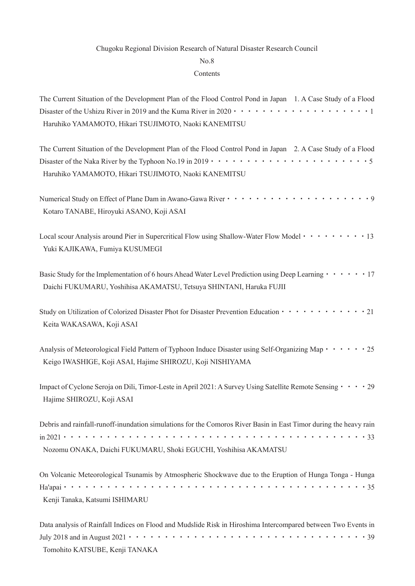## Chugoku Regional Division Research of Natural Disaster Research Council

## No.8

## Contents

| The Current Situation of the Development Plan of the Flood Control Pond in Japan 1. A Case Study of a Flood                       |
|-----------------------------------------------------------------------------------------------------------------------------------|
|                                                                                                                                   |
| Haruhiko YAMAMOTO, Hikari TSUJIMOTO, Naoki KANEMITSU                                                                              |
| The Current Situation of the Development Plan of the Flood Control Pond in Japan 2. A Case Study of a Flood                       |
|                                                                                                                                   |
| Haruhiko YAMAMOTO, Hikari TSUJIMOTO, Naoki KANEMITSU                                                                              |
|                                                                                                                                   |
| Kotaro TANABE, Hiroyuki ASANO, Koji ASAI                                                                                          |
| Local scour Analysis around Pier in Supercritical Flow using Shallow-Water Flow Model · · · · · · · · 13                          |
| Yuki KAJIKAWA, Fumiya KUSUMEGI                                                                                                    |
| Basic Study for the Implementation of 6 hours Ahead Water Level Prediction using Deep Learning 17                                 |
| Daichi FUKUMARU, Yoshihisa AKAMATSU, Tetsuya SHINTANI, Haruka FUJII                                                               |
| Study on Utilization of Colorized Disaster Phot for Disaster Prevention Education $\cdots$ $\cdots$ $\cdots$ $\cdots$ $\cdots$ 21 |
| Keita WAKASAWA, Koji ASAI                                                                                                         |
| Analysis of Meteorological Field Pattern of Typhoon Induce Disaster using Self-Organizing Map · · · · · · 25                      |
| Keigo IWASHIGE, Koji ASAI, Hajime SHIROZU, Koji NISHIYAMA                                                                         |
| Impact of Cyclone Seroja on Dili, Timor-Leste in April 2021: A Survey Using Satellite Remote Sensing $\cdots$ 29                  |
| Hajime SHIROZU, Koji ASAI                                                                                                         |
| Debris and rainfall-runoff-inundation simulations for the Comoros River Basin in East Timor during the heavy rain                 |
|                                                                                                                                   |
| Nozomu ONAKA, Daichi FUKUMARU, Shoki EGUCHI, Yoshihisa AKAMATSU                                                                   |
| On Volcanic Meteorological Tsunamis by Atmospheric Shockwave due to the Eruption of Hunga Tonga - Hunga                           |
|                                                                                                                                   |
| Kenji Tanaka, Katsumi ISHIMARU                                                                                                    |
| Data analysis of Rainfall Indices on Flood and Mudslide Risk in Hiroshima Intercompared between Two Events in                     |
|                                                                                                                                   |
| Tomohito KATSUBE, Kenji TANAKA                                                                                                    |